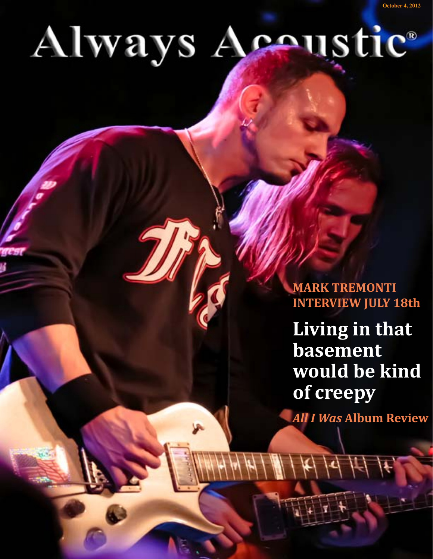# Always Acoustic®

**MARK TREMONTI INTERVIEW JULY 18th**

**[HEADLINE]**

**Living in that basement would be kind of creepy**

*All I Was* **Album Review**

 $H||H||H/dH$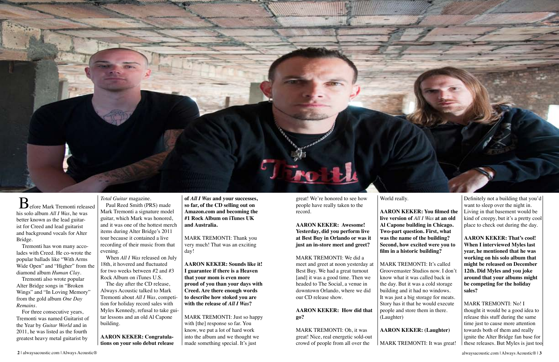

Before Mark Tremonti released his solo album *All I Was*, he was better known as the lead guitarist for Creed and lead guitarist and background vocals for Alter Bridge.

Tremonti has won many accolades with Creed. He co-wrote the popular ballads like "With Arms Wide Open" and "Higher" from the diamond album *Human Clay*.

Tremonti also wrote popular Alter Bridge songs in "Broken Wings" and "In Loving Memory" from the gold album *One Day Remains*.

For three consecutive years, Tremonti was named Guitarist of the Year by *Guitar World* and in 2011, he was listed as the fourth greatest heavy metal guitarist by

*Total Guitar* magazine. Paul Reed Smith (PRS) made Mark Tremonti a signature model guitar, which Mark was honored, and it was one of the hottest merch items during Alter Bridge's 2011 tour because it contained a live recording of their music from that evening.

When *All I Was* released on July 18th, it hovered and fluctuated for two weeks between #2 and #3 Rock Album on iTunes U.S.

The day after the CD release, Always Acoustic talked to Mark Tremonti about *All I Was*, competition for holiday record sales with Myles Kennedy, refusal to take guitar lessons and an old Al Capone building.

**AARON KEKER: Congratulations on your solo debut release**  **of** *All I Was* **and your successes, so far, of the CD selling out on Amazon.com and becoming the #1 Rock Album on iTunes UK and Australia.**

MARK TREMONTI: Thank you very much! That was an exciting day!

Definitely not a building that you'd want to sleep over the night in. Living in that basement would be kind of creepy, but it's a pretty cool place to check out during the day.

**AARON KEKER: Sounds like it! I guarantee if there is a Heaven that your mom is even more proud of you than your days with Creed. Are there enough words to describe how stoked you are with the release of** *All I Was***?**

MARK TREMONTI: Just so happy with [the] response so far. You know, we put a lot of hard work into the album and we thought we made something special. It's just

great! We're honored to see how people have really taken to the record.

**AARON KEKER: Awesome! Yesterday, did you perform live at Best Buy in Orlando or was it just an in-store meet and greet?**

MARK TREMONTI: We did a meet and greet at noon yesterday at Best Buy. We had a great turnout [and] it was a good time. Then we headed to The Social, a venue in downtown Orlando, where we did our CD release show.

### **AARON KEKER: How did that go?**

MARK TREMONTI: Oh, it was great! Nice, real energetic sold-out crowd of people from all over the

World really.

**AARON KEKER: You filmed the live version of** *All I Was* **at an old Al Capone building in Chicago. Two-part question. First, what was the name of the building? Second, how excited were you to film in a historic building?**

MARK TREMONTI: It's called Groovemaster Studios now. I don't know what it was called back in the day. But it was a cold storage building and it had no windows. It was just a big storage for meats. Story has it that he would execute people and store them in there. (Laughter)

### **AARON KEKER: (Laughter)**

MARK TREMONTI: It was great!

**AARON KEKER: That's cool! When I interviewed Myles last year, he mentioned that he was working on his solo album that might be released on December 12th. Did Myles and you joke around that your albums might be competing for the holiday sales?**

MARK TREMONTI: No! I thought it would be a good idea to release this stuff during the same time just to cause more attention towards both of them and really ignite the Alter Bridge fan base for these releases. But Myles is just too